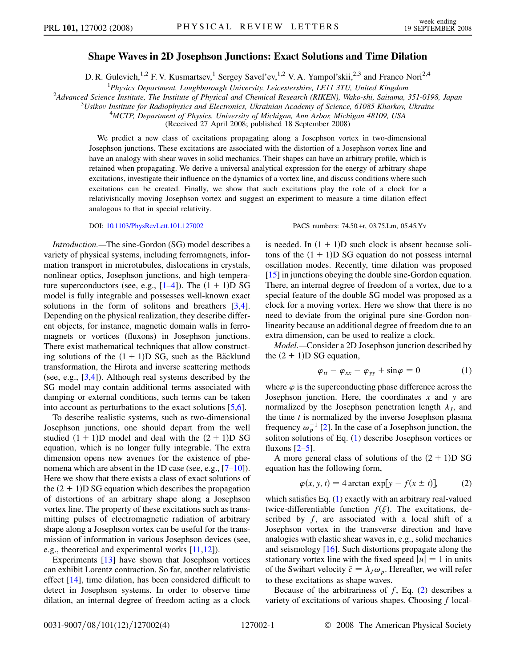## Shape Waves in 2D Josephson Junctions: Exact Solutions and Time Dilation

D. R. Gulevich,<sup>1,2</sup> F. V. Kusmartsev,<sup>1</sup> Sergey Savel'ev,<sup>1,2</sup> V. A. Yampol'skii,<sup>2,3</sup> and Franco Nori<sup>2,4</sup>

 ${}^{1}$ Physics Department, Loughborough University, Leicestershire, LE11 3TU, United Kingdom Physics Department, Loughborough University, Leicestershire, LE11 3TU, United Kingdom<br><sup>2</sup>Advanced Science Institute, The Institute of Physical and Chamical Basearch (BIKEN), Wako shi, Saitama

Advanced Science Institute, The Institute of Physical and Chemical Research (RIKEN), Wako-shi, Saitama, 351-0198, Japan 31 appendix 351-0198, Japan 31 appendix 31 appendix 31 appendix 31 appendix 31 appendix 31 appendix 31

 $^{3}$ Usikov Institute for Radiophysics and Electronics, Ukrainian Academy of Science, 61085 Kharkov, Ukraine

<sup>4</sup>MCTP, Department of Physics, University of Michigan, Ann Arbor, Michigan 48109, USA

(Received 27 April 2008; published 18 September 2008)

We predict a new class of excitations propagating along a Josephson vortex in two-dimensional Josephson junctions. These excitations are associated with the distortion of a Josephson vortex line and have an analogy with shear waves in solid mechanics. Their shapes can have an arbitrary profile, which is retained when propagating. We derive a universal analytical expression for the energy of arbitrary shape excitations, investigate their influence on the dynamics of a vortex line, and discuss conditions where such excitations can be created. Finally, we show that such excitations play the role of a clock for a relativistically moving Josephson vortex and suggest an experiment to measure a time dilation effect analogous to that in special relativity.

Introduction.—The sine-Gordon (SG) model describes a variety of physical systems, including ferromagnets, information transport in microtubules, dislocations in crystals, nonlinear optics, Josephson junctions, and high temperature superconductors (see, e.g.,  $[1-4]$ ). The  $(1 + 1)D SG$ model is fully integrable and possesses well-known exact solutions in the form of solitons and breathers [3,4]. Depending on the physical realization, they describe different objects, for instance, magnetic domain walls in ferromagnets or vortices (fluxons) in Josephson junctions. There exist mathematical techniques that allow constructing solutions of the  $(1 + 1)D$  SG, such as the Bäcklund transformation, the Hirota and inverse scattering methods (see, e.g., [3,4]). Although real systems described by the SG model may contain additional terms associated with damping or external conditions, such terms can be taken into account as perturbations to the exact solutions [5,6].

To describe realistic systems, such as two-dimensional Josephson junctions, one should depart from the well studied  $(1 + 1)D$  model and deal with the  $(2 + 1)D$  SG equation, which is no longer fully integrable. The extra dimension opens new avenues for the existence of phenomena which are absent in the 1D case (see, e.g., [7–10]). Here we show that there exists a class of exact solutions of the  $(2 + 1)$ D SG equation which describes the propagation of distortions of an arbitrary shape along a Josephson vortex line. The property of these excitations such as transmitting pulses of electromagnetic radiation of arbitrary shape along a Josephson vortex can be useful for the transmission of information in various Josephson devices (see, e.g., theoretical and experimental works [11,12]).

Experiments [13] have shown that Josephson vortices can exhibit Lorentz contraction. So far, another relativistic effect [14], time dilation, has been considered difficult to detect in Josephson systems. In order to observe time dilation, an internal degree of freedom acting as a clock

DOI: [10.1103/PhysRevLett.101.127002](http://dx.doi.org/10.1103/PhysRevLett.101.127002) PACS numbers: 74.50.+r, 03.75.Lm, 05.45.Yv

is needed. In  $(1 + 1)D$  such clock is absent because solitons of the  $(1 + 1)D$  SG equation do not possess internal oscillation modes. Recently, time dilation was proposed [15] in junctions obeying the double sine-Gordon equation. There, an internal degree of freedom of a vortex, due to a special feature of the double SG model was proposed as a clock for a moving vortex. Here we show that there is no need to deviate from the original pure sine-Gordon nonlinearity because an additional degree of freedom due to an extra dimension, can be used to realize a clock.

<span id="page-0-0"></span>Model.—Consider a 2D Josephson junction described by the  $(2 + 1)$ D SG equation,

$$
\varphi_{tt} - \varphi_{xx} - \varphi_{yy} + \sin \varphi = 0 \tag{1}
$$

where  $\varphi$  is the superconducting phase difference across the Josephson junction. Here, the coordinates  $x$  and  $y$  are normalized by the Josephson penetration length  $\lambda_j$ , and the time  $t$  is normalized by the inverse Josephson plasma frequency  $\omega_p^{-1}$  [2]. In the case of a Josephson junction, the soliton solutions of Eq. ([1](#page-0-0)) describe Josephson vortices or fluxons  $[2-5]$ .

<span id="page-0-1"></span>A more general class of solutions of the  $(2 + 1)D SG$ equation has the following form,

$$
\varphi(x, y, t) = 4 \arctan \exp[y - f(x \pm t)], \qquad (2)
$$

which satisfies Eq. [\(1](#page-0-0)) exactly with an arbitrary real-valued twice-differentiable function  $f(\xi)$ . The excitations, described by f, are associated with a local shift of a Josephson vortex in the transverse direction and have analogies with elastic shear waves in, e.g., solid mechanics and seismology [16]. Such distortions propagate along the stationary vortex line with the fixed speed  $|u| = 1$  in units of the Swihart velocity  $\bar{c} = \lambda_J \omega_p$ . Hereafter, we will refer to these excitations as shape waves.

Because of the arbitrariness of  $f$ , Eq. ([2](#page-0-1)) describes a variety of excitations of various shapes. Choosing  $f$  local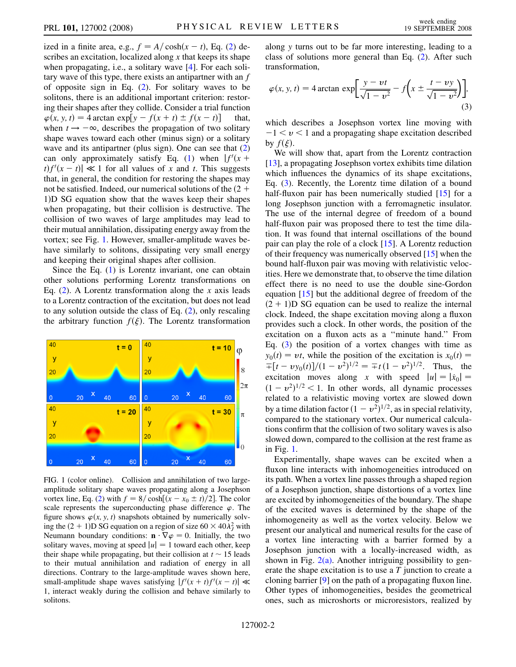ized in a finite area, e.g.,  $f = A/\cosh(x - t)$ , Eq. ([2\)](#page-0-1) describes an excitation, localized along x that keeps its shape when propagating, i.e., a solitary wave [4]. For each solitary wave of this type, there exists an antipartner with an f of opposite sign in Eq. ([2\)](#page-0-1). For solitary waves to be solitons, there is an additional important criterion: restoring their shapes after they collide. Consider a trial function  $\varphi(x, y, t) = 4 \arctan \exp[y - f(x + t) \pm f(x - t)]$  that, when  $t \rightarrow -\infty$ , describes the propagation of two solitary shape waves toward each other (minus sign) or a solitary wave and its antipartner (plus sign). One can see that  $(2)$ can only approximately satisfy Eq. [\(1](#page-0-0)) when  $|f'(x +$  $|t|f'(x-t)| \ll 1$  for all values of x and t. This suggests that, in general, the condition for restoring the shapes may not be satisfied. Indeed, our numerical solutions of the  $(2 +$ 1)D SG equation show that the waves keep their shapes when propagating, but their collision is destructive. The collision of two waves of large amplitudes may lead to their mutual annihilation, dissipating energy away from the vortex; see Fig. 1. However, smaller-amplitude waves behave similarly to solitons, dissipating very small energy and keeping their original shapes after collision.

Since the Eq.  $(1)$  $(1)$  is Lorentz invariant, one can obtain other solutions performing Lorentz transformations on Eq.  $(2)$  $(2)$ . A Lorentz transformation along the x axis leads to a Lorentz contraction of the excitation, but does not lead to any solution outside the class of Eq. [\(2](#page-0-1)), only rescaling the arbitrary function  $f(\xi)$ . The Lorentz transformation



FIG. 1 (color online). Collision and annihilation of two largeamplitude solitary shape waves propagating along a Josephson vortex line, Eq. [\(2](#page-0-1)) with  $f = 8/\cosh[(x - x_0 \pm t)/2]$ . The color scale represents the superconducting phase difference  $\varphi$ . The figure shows  $\varphi(x, y, t)$  snapshots obtained by numerically solving the  $(2 + 1)D SG$  equation on a region of size  $60 \times 40\lambda_j^2$  with Neumann boundary conditions:  $\mathbf{n} \cdot \nabla \varphi = 0$ . Initially, the two solitary waves, moving at speed  $|u| = 1$  toward each other, keep their shape while propagating, but their collision at  $t \sim 15$  leads to their mutual annihilation and radiation of energy in all directions. Contrary to the large-amplitude waves shown here, small-amplitude shape waves satisfying  $|f'(x + t)f'(x - t)| \ll$ 1, interact weakly during the collision and behave similarly to solitons.

along y turns out to be far more interesting, leading to a class of solutions more general than Eq. [\(2](#page-0-1)). After such transformation,

<span id="page-1-0"></span>
$$
\varphi(x, y, t) = 4 \arctan \exp\left[\frac{y - vt}{\sqrt{1 - v^2}} - f\left(x \pm \frac{t - vy}{\sqrt{1 - v^2}}\right)\right],
$$
\n(3)

which describes a Josephson vortex line moving with  $-1 < v < 1$  and a propagating shape excitation described by  $f(\xi)$ .

We will show that, apart from the Lorentz contraction [13], a propagating Josephson vortex exhibits time dilation which influences the dynamics of its shape excitations, Eq. [\(3](#page-1-0)). Recently, the Lorentz time dilation of a bound half-fluxon pair has been numerically studied [15] for a long Josephson junction with a ferromagnetic insulator. The use of the internal degree of freedom of a bound half-fluxon pair was proposed there to test the time dilation. It was found that internal oscillations of the bound pair can play the role of a clock [15]. A Lorentz reduction of their frequency was numerically observed [15] when the bound half-fluxon pair was moving with relativistic velocities. Here we demonstrate that, to observe the time dilation effect there is no need to use the double sine-Gordon equation [15] but the additional degree of freedom of the  $(2 + 1)$ D SG equation can be used to realize the internal clock. Indeed, the shape excitation moving along a fluxon provides such a clock. In other words, the position of the excitation on a fluxon acts as a ''minute hand.'' From Eq.  $(3)$  $(3)$  $(3)$  the position of a vortex changes with time as  $y_0(t) = vt$ , while the position of the excitation is  $x_0(t) =$  $\overline{f}[(t - vy_0(t)]/(1 - v^2)^{1/2}] = \overline{f}t(1 - v^2)^{1/2}$ . Thus, the excitation moves along x with speed  $|u| = |\dot{x}_0|$  $(1 - v^2)^{1/2}$  < 1. In other words, all dynamic processes related to a relativistic moving vortex are slowed down by a time dilation factor  $(1 - v^2)^{1/2}$ , as in special relativity, compared to the stationary vortex. Our numerical calculations confirm that the collision of two solitary waves is also slowed down, compared to the collision at the rest frame as in Fig. 1.

Experimentally, shape waves can be excited when a fluxon line interacts with inhomogeneities introduced on its path. When a vortex line passes through a shaped region of a Josephson junction, shape distortions of a vortex line are excited by inhomogeneities of the boundary. The shape of the excited waves is determined by the shape of the inhomogeneity as well as the vortex velocity. Below we present our analytical and numerical results for the case of a vortex line interacting with a barrier formed by a Josephson junction with a locally-increased width, as shown in Fig.  $2(a)$ . Another intriguing possibility to generate the shape excitation is to use a  $T$  junction to create a cloning barrier [9] on the path of a propagating fluxon line. Other types of inhomogeneities, besides the geometrical ones, such as microshorts or microresistors, realized by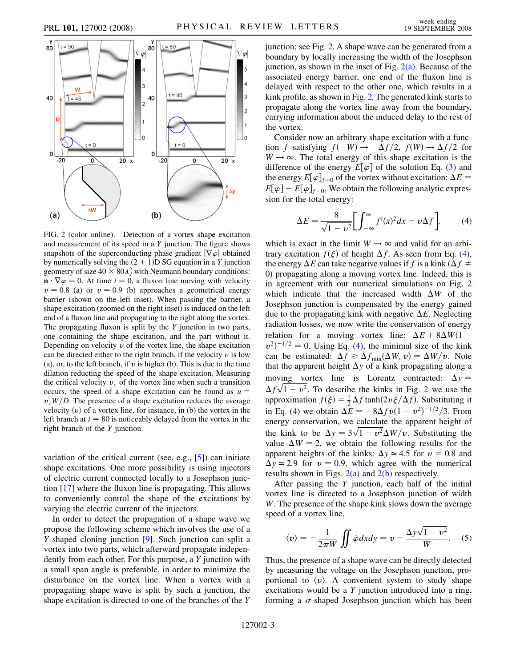

<span id="page-2-0"></span>

FIG. 2 (color online). Detection of a vortex shape excitation and measurement of its speed in a Y junction. The figure shows snapshots of the superconducting phase gradient  $|\nabla \varphi|$  obtained by numerically solving the  $(2 + 1)D SG$  equation in a Y junction geometry of size  $40 \times 80 \lambda_j^2$  with Neumann boundary conditions:  $\mathbf{n} \cdot \nabla \varphi = 0$ . At time  $t = 0$ , a fluxon line moving with velocity  $v = 0.8$  (a) or  $v = 0.9$  (b) approaches a geometrical energy barrier (shown on the left inset). When passing the barrier, a shape excitation (zoomed on the right inset) is induced on the left end of a fluxon line and propagating to the right along the vortex. The propagating fluxon is split by the  $Y$  junction in two parts, one containing the shape excitation, and the part without it. Depending on velocity  $\nu$  of the vortex line, the shape excitation can be directed either to the right branch, if the velocity  $\nu$  is low (a), or, to the left branch, if  $\nu$  is higher (b). This is due to the time dilation reducting the speed of the shape excitation. Measuring the critical velocity  $v_c$  of the vortex line when such a transition occurs, the speed of a shape excitation can be found as  $u =$  $v_cW/D$ . The presence of a shape excitation reduces the average velocity  $\langle v \rangle$  of a vortex line, for instance, in (b) the vortex in the left branch at  $t = 80$  is noticeably delayed from the vortex in the right branch of the Y junction.

variation of the critical current (see, e.g., [5]) can initiate shape excitations. One more possibility is using injectors of electric current connected locally to a Josephson junction [17] where the fluxon line is propagating. This allows to conveniently control the shape of the excitations by varying the electric current of the injectors.

In order to detect the propagation of a shape wave we propose the following scheme which involves the use of a Y-shaped cloning junction [9]. Such junction can split a vortex into two parts, which afterward propagate independently from each other. For this purpose, a Y junction with a small span angle is preferable, in order to minimize the disturbance on the vortex line. When a vortex with a propagating shape wave is split by such a junction, the shape excitation is directed to one of the branches of the Y junction; see Fig. 2. A shape wave can be generated from a boundary by locally increasing the width of the Josephson junction, as shown in the inset of Fig.  $2(a)$ . Because of the associated energy barrier, one end of the fluxon line is delayed with respect to the other one, which results in a kink profile, as shown in Fig. 2. The generated kink starts to propagate along the vortex line away from the boundary, carrying information about the induced delay to the rest of the vortex.

Consider now an arbitrary shape excitation with a function f satisfying  $f(-W) \rightarrow -\Delta f/2$ ,  $f(W) \rightarrow \Delta f/2$  for  $W \rightarrow \infty$ . The total energy of this shape excitation is the difference of the energy  $E[\varphi]$  of the solution Eq. ([3\)](#page-1-0) and the energy  $E[\varphi]_{f=0}$  of the vortex without excitation:  $\Delta E =$  $E[\varphi] - E[\varphi]_{f=0}$ . We obtain the following analytic expression for the total energy:

<span id="page-2-1"></span>
$$
\Delta E = \frac{8}{\sqrt{1 - v^2}} \bigg[ \int_{-\infty}^{\infty} f'(x)^2 dx - v \Delta f \bigg],\tag{4}
$$

which is exact in the limit  $W \rightarrow \infty$  and valid for an arbitrary excitation  $f(\xi)$  of height  $\Delta f$ . As seen from Eq. ([4\)](#page-2-1), the energy  $\Delta E$  can take negative values if f is a kink ( $\Delta f \neq$ 0) propagating along a moving vortex line. Indeed, this is in agreement with our numerical simulations on Fig. 2 which indicate that the increased width  $\Delta W$  of the Josephson junction is compensated by the energy gained due to the propagating kink with negative  $\Delta E$ . Neglecting radiation losses, we now write the conservation of energy relation for a moving vortex line:  $\Delta E + 8\Delta W(1$  $v^2$ <sup>-1/2</sup> = 0. Using Eq. [\(4\)](#page-2-1), the minimal size of the kink can be estimated:  $\Delta f \geq \Delta f_{\min}(\Delta W, v) = \Delta W/v$ . Note that the apparent height  $\Delta y$  of a kink propagating along a moving vortex line is Lorentz contracted:  $\Delta y =$  $\Delta f \sqrt{1 - v^2}$ . To describe the kinks in Fig. 2 we use the approximation  $f(\xi) = \frac{1}{2} \Delta f \tanh(2v \xi / \Delta f)$ . Substituting it in Eq. ([4\)](#page-2-1) we obtain  $\Delta E = -8\Delta f v (1 - v^2)^{-1/2} / 3$ . From energy conservation, we calculate the apparent height of the kink to be  $\Delta y = 3\sqrt{1 - v^2} \Delta W/v$ . Substituting the value  $\Delta W = 2$ , we obtain the following results for the apparent heights of the kinks:  $\Delta y \approx 4.5$  for  $v = 0.8$  and  $\Delta y \approx 2.9$  for  $v = 0.9$ , which agree with the numerical results shown in Figs.  $2(a)$  and  $2(b)$  respectively.

After passing the  $Y$  junction, each half of the initial vortex line is directed to a Josephson junction of width W. The presence of the shape kink slows down the average speed of a vortex line,

<span id="page-2-2"></span>
$$
\langle v \rangle = -\frac{1}{2\pi W} \iint \dot{\varphi} dx dy = v - \frac{\Delta y \sqrt{1 - v^2}}{W}.
$$
 (5)

Thus, the presence of a shape wave can be directly detected by measuring the voltage on the Josephson junction, proportional to  $\langle v \rangle$ . A convenient system to study shape excitations would be a Y junction introduced into a ring, forming a  $\sigma$ -shaped Josephson junction which has been